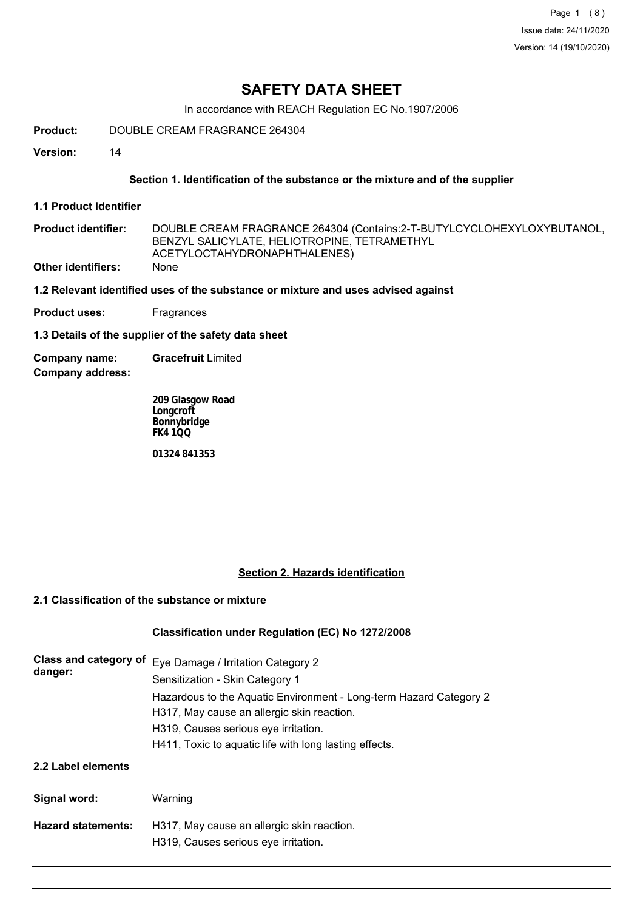Page 1 (8) Issue date: 24/11/2020 Version: 14 (19/10/2020)

# **SAFETY DATA SHEET**

In accordance with REACH Regulation EC No.1907/2006

**Product:** DOUBLE CREAM FRAGRANCE 264304

**Version:** 14

# **Section 1. Identification of the substance or the mixture and of the supplier**

**1.1 Product Identifier**

| <b>Product identifier:</b> | DOUBLE CREAM FRAGRANCE 264304 (Contains:2-T-BUTYLCYCLOHEXYLOXYBUTANOL, |
|----------------------------|------------------------------------------------------------------------|
|                            | BENZYL SALICYLATE, HELIOTROPINE, TETRAMETHYL                           |
|                            | ACETYLOCTAHYDRONAPHTHALENES)                                           |
| Other identifiers:         | <b>None</b>                                                            |

## **1.2 Relevant identified uses of the substance or mixture and uses advised against**

**Product uses:** Fragrances

**1.3 Details of the supplier of the safety data sheet**

**Company address: Company name: Gracefruit** Limited

> **209 Glasgow Road Longcroft Bonnybridge FK4 1QQ**

**01324 841353**

# **Section 2. Hazards identification**

# **2.1 Classification of the substance or mixture**

# **Classification under Regulation (EC) No 1272/2008**

| Class and category of<br>danger: | Eye Damage / Irritation Category 2<br>Sensitization - Skin Category 1                                            |  |  |
|----------------------------------|------------------------------------------------------------------------------------------------------------------|--|--|
|                                  | Hazardous to the Aquatic Environment - Long-term Hazard Category 2<br>H317, May cause an allergic skin reaction. |  |  |
|                                  | H319, Causes serious eye irritation.                                                                             |  |  |
|                                  | H411, Toxic to aquatic life with long lasting effects.                                                           |  |  |
| 2.2 Label elements               |                                                                                                                  |  |  |
| Signal word:                     | Warning                                                                                                          |  |  |
| <b>Hazard statements:</b>        | H317, May cause an allergic skin reaction.<br>H319, Causes serious eye irritation.                               |  |  |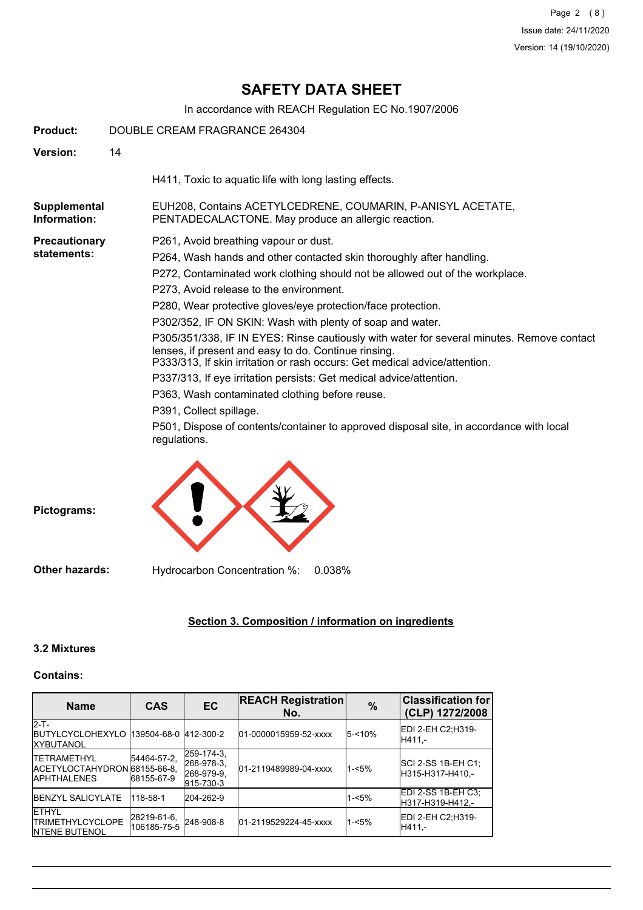# **SAFETY DATA SHEET**

In accordance with REACH Regulation EC No.1907/2006

| Product:                     | DOUBLE CREAM FRAGRANCE 264304 |                                                                                                                                                                                                                                 |  |  |  |
|------------------------------|-------------------------------|---------------------------------------------------------------------------------------------------------------------------------------------------------------------------------------------------------------------------------|--|--|--|
| <b>Version:</b>              | 14                            |                                                                                                                                                                                                                                 |  |  |  |
|                              |                               | H411, Toxic to aquatic life with long lasting effects.                                                                                                                                                                          |  |  |  |
| Supplemental<br>Information: |                               | EUH208, Contains ACETYLCEDRENE, COUMARIN, P-ANISYL ACETATE,<br>PENTADECALACTONE. May produce an allergic reaction.                                                                                                              |  |  |  |
| <b>Precautionary</b>         |                               | P261, Avoid breathing vapour or dust.                                                                                                                                                                                           |  |  |  |
| statements:                  |                               | P264, Wash hands and other contacted skin thoroughly after handling.                                                                                                                                                            |  |  |  |
|                              |                               | P272, Contaminated work clothing should not be allowed out of the workplace.                                                                                                                                                    |  |  |  |
|                              |                               | P273, Avoid release to the environment.                                                                                                                                                                                         |  |  |  |
|                              |                               | P280, Wear protective gloves/eye protection/face protection.                                                                                                                                                                    |  |  |  |
|                              |                               | P302/352, IF ON SKIN: Wash with plenty of soap and water.                                                                                                                                                                       |  |  |  |
|                              |                               | P305/351/338, IF IN EYES: Rinse cautiously with water for several minutes. Remove contact<br>lenses, if present and easy to do. Continue rinsing.<br>P333/313, If skin irritation or rash occurs: Get medical advice/attention. |  |  |  |
|                              |                               | P337/313, If eye irritation persists: Get medical advice/attention.                                                                                                                                                             |  |  |  |
|                              |                               | P363, Wash contaminated clothing before reuse.                                                                                                                                                                                  |  |  |  |
|                              |                               | P391, Collect spillage.                                                                                                                                                                                                         |  |  |  |
|                              |                               | P501, Dispose of contents/container to approved disposal site, in accordance with local<br>regulations.                                                                                                                         |  |  |  |



# **Section 3. Composition / information on ingredients**

# **3.2 Mixtures**

# **Contains:**

| <b>Name</b>                                                                    | <b>CAS</b>                 | <b>EC</b>                                           | <b>REACH Registration</b><br>No. | $\%$     | <b>Classification for</b><br>(CLP) 1272/2008 |
|--------------------------------------------------------------------------------|----------------------------|-----------------------------------------------------|----------------------------------|----------|----------------------------------------------|
| $2-T$ -<br><b>IBUTYLCYCLOHEXYLO 139504-68-0 412-300-2</b><br><b>IXYBUTANOL</b> |                            |                                                     | 01-0000015959-52-xxxx            | 5-<10%   | IEDI 2-EH C2:H319-<br>IH411.-                |
| <b>ITETRAMETHYL</b><br>IACETYLOCTAHYDRON 68155-66-8.<br><b>IAPHTHALENES</b>    | 54464-57-2.<br>68155-67-9  | 259-174-3.<br>268-978-3.<br>268-979-9.<br>915-730-3 | 01-2119489989-04-xxxx            | $1 - 5%$ | ISCI 2-SS 1B-EH C1:<br>IH315-H317-H410.-     |
| <b>IBENZYL SALICYLATE</b>                                                      | 118-58-1                   | 204-262-9                                           |                                  | $1 - 5%$ | EDI 2-SS 1B-EH C3;<br>H317-H319-H412.-       |
| <b>ETHYL</b><br><b>ITRIMETHYLCYCLOPE</b><br><b>INTENE BUTENOL</b>              | 28219-61-6.<br>106185-75-5 | 248-908-8                                           | 01-2119529224-45-xxxx            | $1 - 5%$ | EDI 2-EH C2:H319-<br>H411.-                  |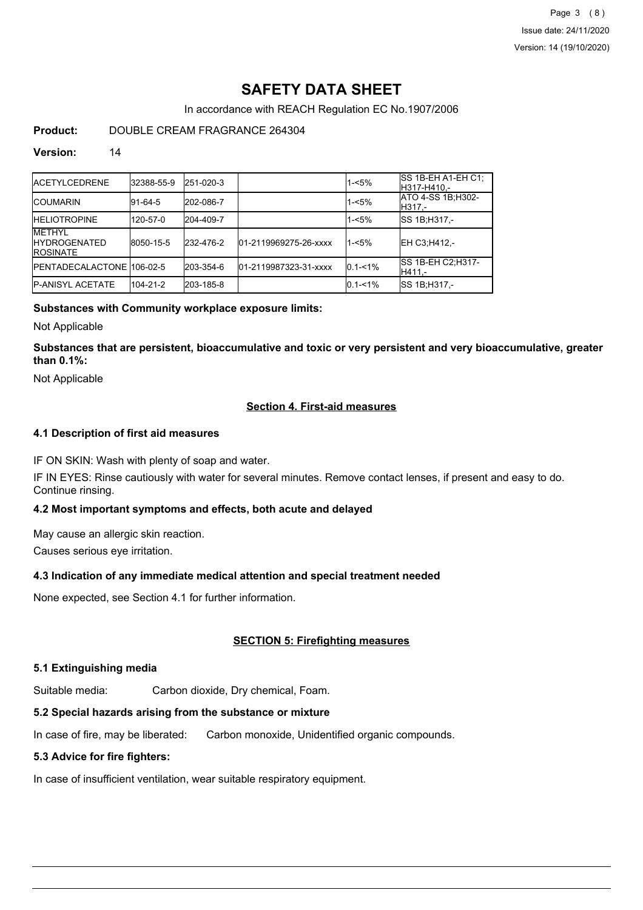Page 3 (8) Issue date: 24/11/2020 Version: 14 (19/10/2020)

# **SAFETY DATA SHEET**

In accordance with REACH Regulation EC No.1907/2006

# **Product:** DOUBLE CREAM FRAGRANCE 264304

#### **Version:** 14

| <b>IACETYLCEDRENE</b>                                     | 32388-55-9 | 251-020-3 |                       | $1 - 5%$    | ISS 1B-EH A1-EH C1:<br>H317-H410.-  |
|-----------------------------------------------------------|------------|-----------|-----------------------|-------------|-------------------------------------|
| <b>ICOUMARIN</b>                                          | 91-64-5    | 202-086-7 |                       | $1 - 5%$    | ATO 4-SS 1B; H302-<br> H317.-       |
| <b>IHELIOTROPINE</b>                                      | 120-57-0   | 204-409-7 |                       | $1 - 5%$    | ISS 1B:H317 -                       |
| <b>METHYL</b><br><b>IHYDROGENATED</b><br><b>IROSINATE</b> | 8050-15-5  | 232-476-2 | 01-2119969275-26-xxxx | $1 - 5%$    | EH C3:H412.-                        |
| <b>IPENTADECALACTONE 106-02-5</b>                         |            | 203-354-6 | 01-2119987323-31-xxxx | $0.1 - 1\%$ | <b>SS 1B-EH C2:H317-</b><br>IH411.- |
| <b>IP-ANISYL ACETATE</b>                                  | 104-21-2   | 203-185-8 |                       | $0.1 - 1\%$ | ISS 1B:H317.-                       |

## **Substances with Community workplace exposure limits:**

Not Applicable

**Substances that are persistent, bioaccumulative and toxic or very persistent and very bioaccumulative, greater than 0.1%:**

Not Applicable

## **Section 4. First-aid measures**

## **4.1 Description of first aid measures**

IF ON SKIN: Wash with plenty of soap and water.

IF IN EYES: Rinse cautiously with water for several minutes. Remove contact lenses, if present and easy to do. Continue rinsing.

## **4.2 Most important symptoms and effects, both acute and delayed**

May cause an allergic skin reaction.

Causes serious eye irritation.

## **4.3 Indication of any immediate medical attention and special treatment needed**

None expected, see Section 4.1 for further information.

# **SECTION 5: Firefighting measures**

## **5.1 Extinguishing media**

Suitable media: Carbon dioxide, Dry chemical, Foam.

# **5.2 Special hazards arising from the substance or mixture**

In case of fire, may be liberated: Carbon monoxide, Unidentified organic compounds.

# **5.3 Advice for fire fighters:**

In case of insufficient ventilation, wear suitable respiratory equipment.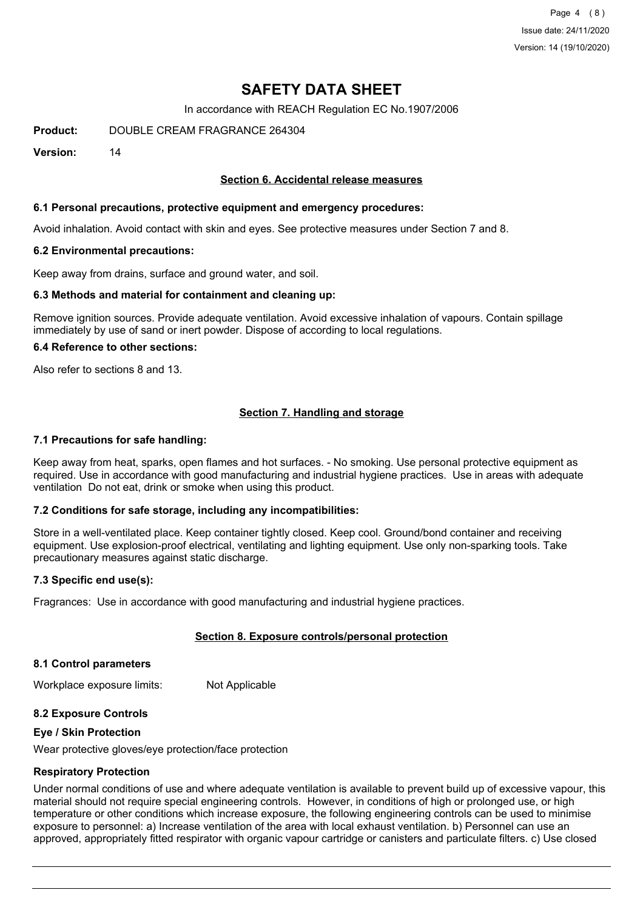Page 4 (8) Issue date: 24/11/2020 Version: 14 (19/10/2020)

# **SAFETY DATA SHEET**

In accordance with REACH Regulation EC No.1907/2006

**Product:** DOUBLE CREAM FRAGRANCE 264304

**Version:** 14

## **Section 6. Accidental release measures**

## **6.1 Personal precautions, protective equipment and emergency procedures:**

Avoid inhalation. Avoid contact with skin and eyes. See protective measures under Section 7 and 8.

#### **6.2 Environmental precautions:**

Keep away from drains, surface and ground water, and soil.

#### **6.3 Methods and material for containment and cleaning up:**

Remove ignition sources. Provide adequate ventilation. Avoid excessive inhalation of vapours. Contain spillage immediately by use of sand or inert powder. Dispose of according to local regulations.

#### **6.4 Reference to other sections:**

Also refer to sections 8 and 13.

# **Section 7. Handling and storage**

#### **7.1 Precautions for safe handling:**

Keep away from heat, sparks, open flames and hot surfaces. - No smoking. Use personal protective equipment as required. Use in accordance with good manufacturing and industrial hygiene practices. Use in areas with adequate ventilation Do not eat, drink or smoke when using this product.

## **7.2 Conditions for safe storage, including any incompatibilities:**

Store in a well-ventilated place. Keep container tightly closed. Keep cool. Ground/bond container and receiving equipment. Use explosion-proof electrical, ventilating and lighting equipment. Use only non-sparking tools. Take precautionary measures against static discharge.

## **7.3 Specific end use(s):**

Fragrances: Use in accordance with good manufacturing and industrial hygiene practices.

## **Section 8. Exposure controls/personal protection**

#### **8.1 Control parameters**

Workplace exposure limits: Not Applicable

## **8.2 Exposure Controls**

#### **Eye / Skin Protection**

Wear protective gloves/eye protection/face protection

#### **Respiratory Protection**

Under normal conditions of use and where adequate ventilation is available to prevent build up of excessive vapour, this material should not require special engineering controls. However, in conditions of high or prolonged use, or high temperature or other conditions which increase exposure, the following engineering controls can be used to minimise exposure to personnel: a) Increase ventilation of the area with local exhaust ventilation. b) Personnel can use an approved, appropriately fitted respirator with organic vapour cartridge or canisters and particulate filters. c) Use closed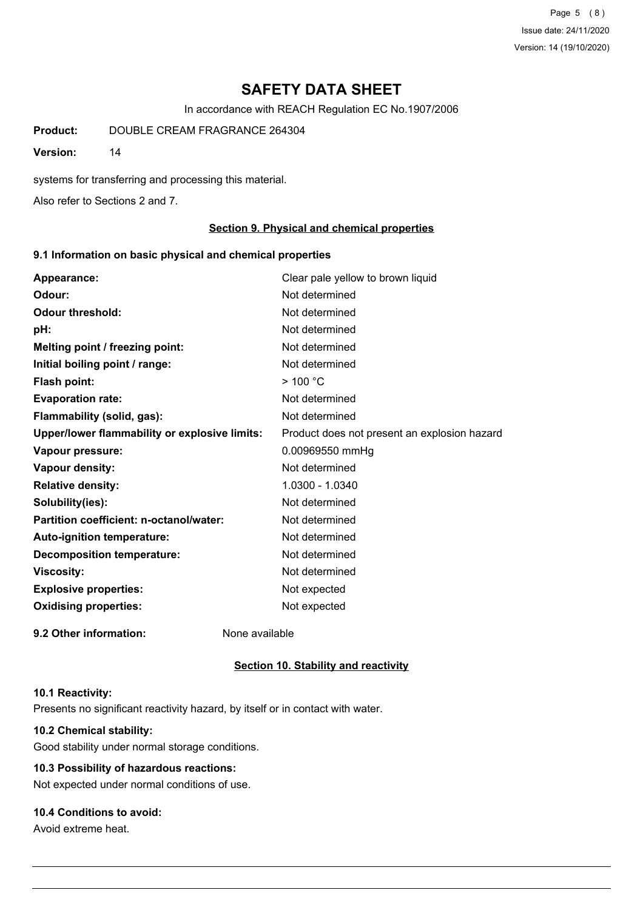Page 5 (8) Issue date: 24/11/2020 Version: 14 (19/10/2020)

# **SAFETY DATA SHEET**

In accordance with REACH Regulation EC No.1907/2006

**Product:** DOUBLE CREAM FRAGRANCE 264304

**Version:** 14

systems for transferring and processing this material.

Also refer to Sections 2 and 7.

#### **Section 9. Physical and chemical properties**

### **9.1 Information on basic physical and chemical properties**

| Appearance:                                   | Clear pale yellow to brown liquid            |
|-----------------------------------------------|----------------------------------------------|
| Odour:                                        | Not determined                               |
| <b>Odour threshold:</b>                       | Not determined                               |
| pH:                                           | Not determined                               |
| Melting point / freezing point:               | Not determined                               |
| Initial boiling point / range:                | Not determined                               |
| Flash point:                                  | $>$ 100 °C                                   |
| <b>Evaporation rate:</b>                      | Not determined                               |
| Flammability (solid, gas):                    | Not determined                               |
| Upper/lower flammability or explosive limits: | Product does not present an explosion hazard |
| Vapour pressure:                              | 0.00969550 mmHg                              |
| <b>Vapour density:</b>                        | Not determined                               |
| <b>Relative density:</b>                      | 1.0300 - 1.0340                              |
| Solubility(ies):                              | Not determined                               |
| Partition coefficient: n-octanol/water:       | Not determined                               |
| Auto-ignition temperature:                    | Not determined                               |
| <b>Decomposition temperature:</b>             | Not determined                               |
| <b>Viscosity:</b>                             | Not determined                               |
| <b>Explosive properties:</b>                  | Not expected                                 |
| <b>Oxidising properties:</b>                  | Not expected                                 |
| 9.2 Other information:                        | None available                               |

# **Section 10. Stability and reactivity**

#### **10.1 Reactivity:**

Presents no significant reactivity hazard, by itself or in contact with water.

# **10.2 Chemical stability:**

Good stability under normal storage conditions.

# **10.3 Possibility of hazardous reactions:**

Not expected under normal conditions of use.

# **10.4 Conditions to avoid:**

Avoid extreme heat.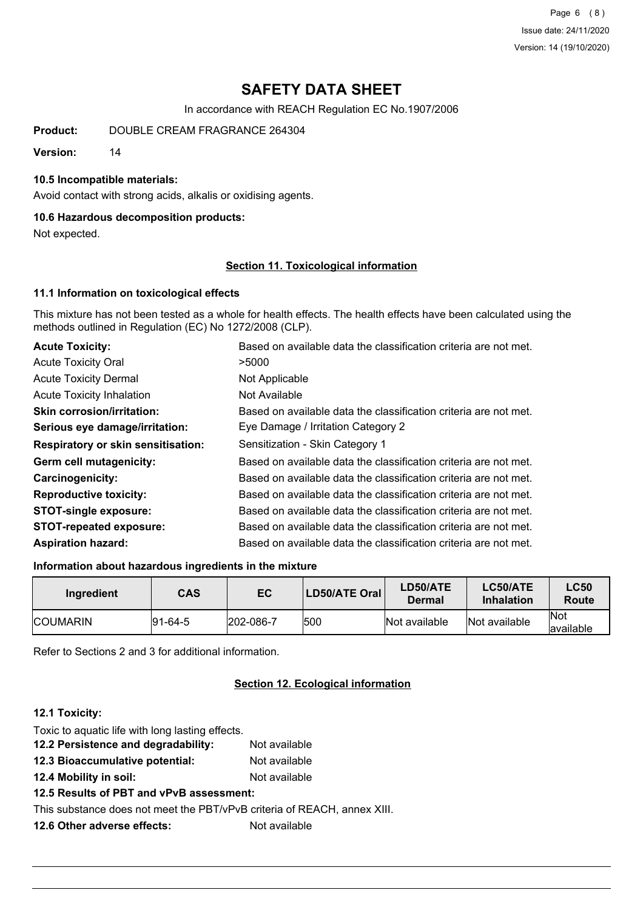Page 6 (8) Issue date: 24/11/2020 Version: 14 (19/10/2020)

# **SAFETY DATA SHEET**

In accordance with REACH Regulation EC No.1907/2006

**Product:** DOUBLE CREAM FRAGRANCE 264304

**Version:** 14

### **10.5 Incompatible materials:**

Avoid contact with strong acids, alkalis or oxidising agents.

#### **10.6 Hazardous decomposition products:**

Not expected.

## **Section 11. Toxicological information**

## **11.1 Information on toxicological effects**

This mixture has not been tested as a whole for health effects. The health effects have been calculated using the methods outlined in Regulation (EC) No 1272/2008 (CLP).

| <b>Acute Toxicity:</b>                    | Based on available data the classification criteria are not met. |
|-------------------------------------------|------------------------------------------------------------------|
| <b>Acute Toxicity Oral</b>                | >5000                                                            |
| <b>Acute Toxicity Dermal</b>              | Not Applicable                                                   |
| Acute Toxicity Inhalation                 | Not Available                                                    |
| <b>Skin corrosion/irritation:</b>         | Based on available data the classification criteria are not met. |
| Serious eye damage/irritation:            | Eye Damage / Irritation Category 2                               |
| <b>Respiratory or skin sensitisation:</b> | Sensitization - Skin Category 1                                  |
| Germ cell mutagenicity:                   | Based on available data the classification criteria are not met. |
| <b>Carcinogenicity:</b>                   | Based on available data the classification criteria are not met. |
| <b>Reproductive toxicity:</b>             | Based on available data the classification criteria are not met. |
| <b>STOT-single exposure:</b>              | Based on available data the classification criteria are not met. |
| <b>STOT-repeated exposure:</b>            | Based on available data the classification criteria are not met. |
| <b>Aspiration hazard:</b>                 | Based on available data the classification criteria are not met. |

#### **Information about hazardous ingredients in the mixture**

| Ingredient      | CAS     | EC               | LD50/ATE Oral | <b>LD50/ATE</b><br>Dermal | <b>LC50/ATE</b><br><b>Inhalation</b> | <b>LC50</b><br>Route |
|-----------------|---------|------------------|---------------|---------------------------|--------------------------------------|----------------------|
| <b>COUMARIN</b> | 91-64-5 | $ 202 - 086 - 7$ | 1500          | Not available             | Not available                        | Not<br>lavailable    |

Refer to Sections 2 and 3 for additional information.

# **Section 12. Ecological information**

## **12.1 Toxicity:**

Toxic to aquatic life with long lasting effects.

- **12.2 Persistence and degradability:** Not available
- **12.3 Bioaccumulative potential:** Not available
- **12.4 Mobility in soil:** Not available
- **12.5 Results of PBT and vPvB assessment:**

This substance does not meet the PBT/vPvB criteria of REACH, annex XIII.

**12.6 Other adverse effects:** Not available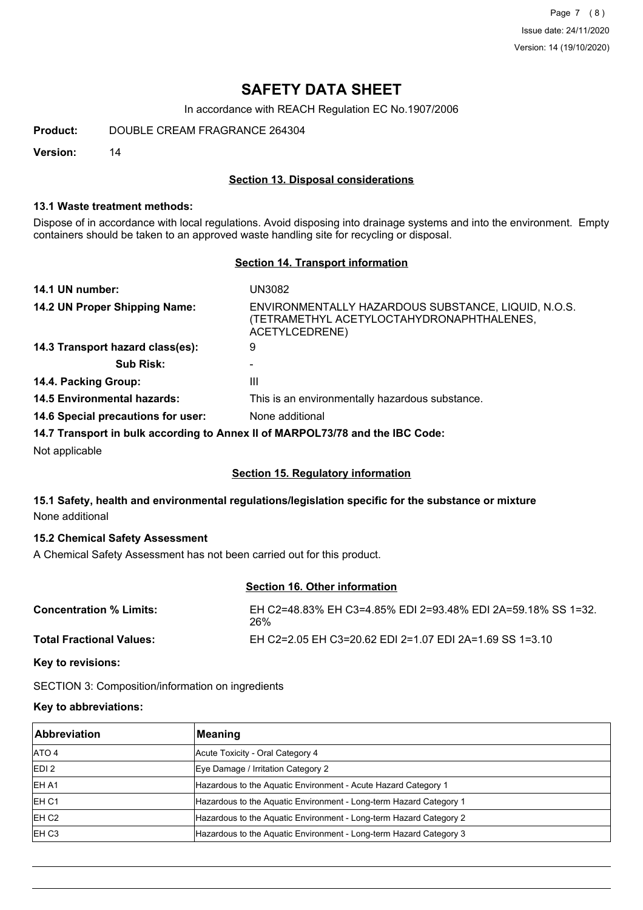Page 7 (8) Issue date: 24/11/2020 Version: 14 (19/10/2020)

# **SAFETY DATA SHEET**

In accordance with REACH Regulation EC No.1907/2006

**Product:** DOUBLE CREAM FRAGRANCE 264304

**Version:** 14

# **Section 13. Disposal considerations**

### **13.1 Waste treatment methods:**

Dispose of in accordance with local regulations. Avoid disposing into drainage systems and into the environment. Empty containers should be taken to an approved waste handling site for recycling or disposal.

## **Section 14. Transport information**

| 14.1 UN number:                    | UN3082                                                                                                             |
|------------------------------------|--------------------------------------------------------------------------------------------------------------------|
| 14.2 UN Proper Shipping Name:      | ENVIRONMENTALLY HAZARDOUS SUBSTANCE, LIQUID, N.O.S.<br>(TETRAMETHYL ACETYLOCTAHYDRONAPHTHALENES,<br>ACETYLCEDRENE) |
| 14.3 Transport hazard class(es):   | 9                                                                                                                  |
| <b>Sub Risk:</b>                   |                                                                                                                    |
| 14.4. Packing Group:               | Ш                                                                                                                  |
| <b>14.5 Environmental hazards:</b> | This is an environmentally hazardous substance.                                                                    |
| 14.6 Special precautions for user: | None additional                                                                                                    |
|                                    | 14.7 Transport in bulk according to Annex II of MARPOL73/78 and the IBC Code:                                      |
| Not opplicable                     |                                                                                                                    |

Not applicable

## **Section 15. Regulatory information**

# **15.1 Safety, health and environmental regulations/legislation specific for the substance or mixture** None additional

# **15.2 Chemical Safety Assessment**

A Chemical Safety Assessment has not been carried out for this product.

# **Section 16. Other information**

| <b>Concentration % Limits:</b>  | EH C2=48.83% EH C3=4.85% EDI 2=93.48% EDI 2A=59.18% SS 1=32.<br>26% |
|---------------------------------|---------------------------------------------------------------------|
| <b>Total Fractional Values:</b> | EH C2=2.05 EH C3=20.62 EDI 2=1.07 EDI 2A=1.69 SS 1=3.10             |

**Key to revisions:**

SECTION 3: Composition/information on ingredients

# **Key to abbreviations:**

| Abbreviation       | Meaning                                                            |
|--------------------|--------------------------------------------------------------------|
| <b>ATO 4</b>       | Acute Toxicity - Oral Category 4                                   |
| EDI <sub>2</sub>   | Eye Damage / Irritation Category 2                                 |
| IEH A1             | Hazardous to the Aquatic Environment - Acute Hazard Category 1     |
| <b>IEH C1</b>      | Hazardous to the Aquatic Environment - Long-term Hazard Category 1 |
| IEH C <sub>2</sub> | Hazardous to the Aquatic Environment - Long-term Hazard Category 2 |
| IEH C <sub>3</sub> | Hazardous to the Aquatic Environment - Long-term Hazard Category 3 |